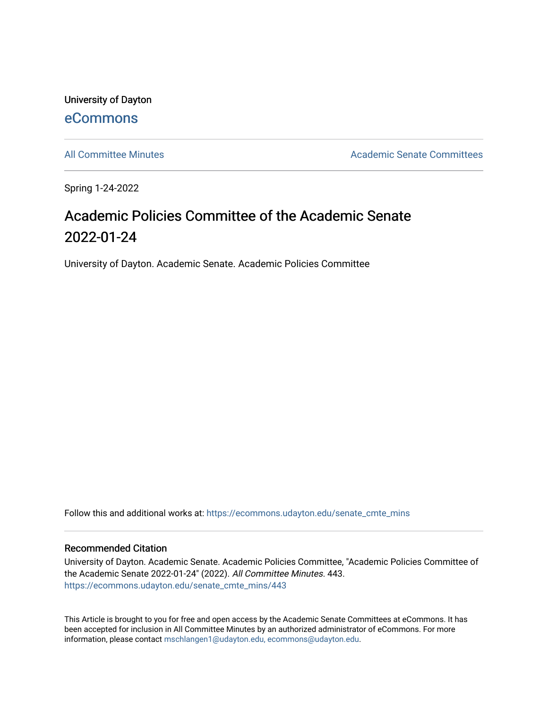University of Dayton [eCommons](https://ecommons.udayton.edu/)

[All Committee Minutes](https://ecommons.udayton.edu/senate_cmte_mins) **Academic Senate Committees** Academic Senate Committees

Spring 1-24-2022

# Academic Policies Committee of the Academic Senate 2022-01-24

University of Dayton. Academic Senate. Academic Policies Committee

Follow this and additional works at: [https://ecommons.udayton.edu/senate\\_cmte\\_mins](https://ecommons.udayton.edu/senate_cmte_mins?utm_source=ecommons.udayton.edu%2Fsenate_cmte_mins%2F443&utm_medium=PDF&utm_campaign=PDFCoverPages)

#### Recommended Citation

University of Dayton. Academic Senate. Academic Policies Committee, "Academic Policies Committee of the Academic Senate 2022-01-24" (2022). All Committee Minutes. 443. [https://ecommons.udayton.edu/senate\\_cmte\\_mins/443](https://ecommons.udayton.edu/senate_cmte_mins/443?utm_source=ecommons.udayton.edu%2Fsenate_cmte_mins%2F443&utm_medium=PDF&utm_campaign=PDFCoverPages)

This Article is brought to you for free and open access by the Academic Senate Committees at eCommons. It has been accepted for inclusion in All Committee Minutes by an authorized administrator of eCommons. For more information, please contact [mschlangen1@udayton.edu, ecommons@udayton.edu](mailto:mschlangen1@udayton.edu,%20ecommons@udayton.edu).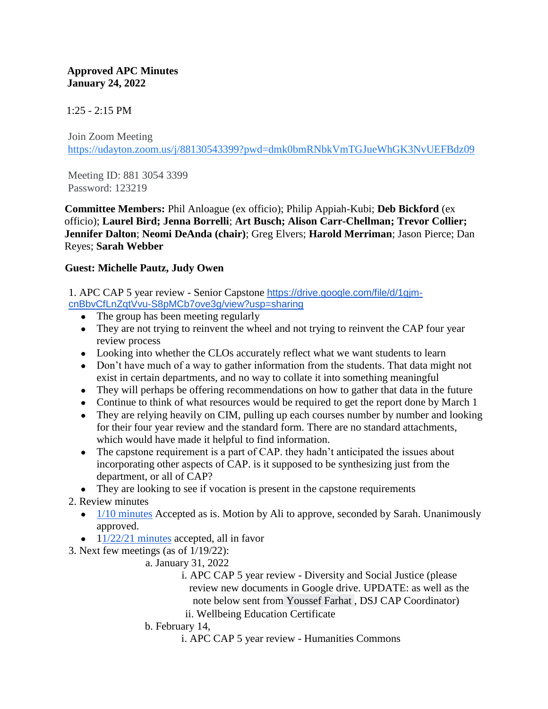### **Approved APC Minutes January 24, 2022**

# $1:25 - 2:15$  PM

Join Zoom Meeting https://udayton.zoom.us/j/88130543399?pwd=dmk0bmRNbkVmTGJueWhGK3NvUEFBdz09

Meeting ID: 881 3054 3399 Password: 123219

**Committee Members:** Phil Anloague (ex officio); Philip Appiah-Kubi; **Deb Bickford** (ex officio); **Laurel Bird; Jenna Borrelli**; **Art Busch; Alison Carr-Chellman; Trevor Collier; Jennifer Dalton**; **Neomi DeAnda (chair)**; Greg Elvers; **Harold Merriman**; Jason Pierce; Dan Reyes; **Sarah Webber**

## **Guest: Michelle Pautz, Judy Owen**

1. APC CAP 5 year review - Senior Capstone [https://drive.google.com/file/d/1gjm](https://drive.google.com/file/d/1gjm-cnBbvCfLnZqtVvu-S8pMCb7ove3g/view?usp=sharing)[cnBbvCfLnZqtVvu-S8pMCb7ove3g/view?usp=sharing](https://drive.google.com/file/d/1gjm-cnBbvCfLnZqtVvu-S8pMCb7ove3g/view?usp=sharing)

- The group has been meeting regularly
- They are not trying to reinvent the wheel and not trying to reinvent the CAP four year review process
- Looking into whether the CLOs accurately reflect what we want students to learn
- Don't have much of a way to gather information from the students. That data might not exist in certain departments, and no way to collate it into something meaningful
- They will perhaps be offering recommendations on how to gather that data in the future
- Continue to think of what resources would be required to get the report done by March 1
- They are relying heavily on CIM, pulling up each courses number by number and looking for their four year review and the standard form. There are no standard attachments, which would have made it helpful to find information.
- The capstone requirement is a part of CAP. they hadn't anticipated the issues about incorporating other aspects of CAP. is it supposed to be synthesizing just from the department, or all of CAP?

● They are looking to see if vocation is present in the capstone requirements

# 2. Review minutes

- $\bullet$  [1/10 minutes](https://docs.google.com/document/d/1YGW22Pe7iE3GIjVyzm43cMTYulKy02Nc/edit) Accepted as is. Motion by Ali to approve, seconded by Sarah. Unanimously approved.
- $\bullet$  [11/22/21 minutes](https://docs.google.com/document/d/1agGZYb2EEUyWI_b5Mjt5YTtZl2NqehDS/edit#heading=h.gjdgxs) accepted, all in favor
- 3. Next few meetings (as of 1/19/22):
	- a. January 31, 2022
		- i. APC CAP 5 year review Diversity and Social Justice (please review new documents in Google drive. UPDATE: as well as the note below sent from Youssef Farhat , DSJ CAP Coordinator)
		- ii. Wellbeing Education Certificate
	- b. February 14,
		- i. APC CAP 5 year review Humanities Commons